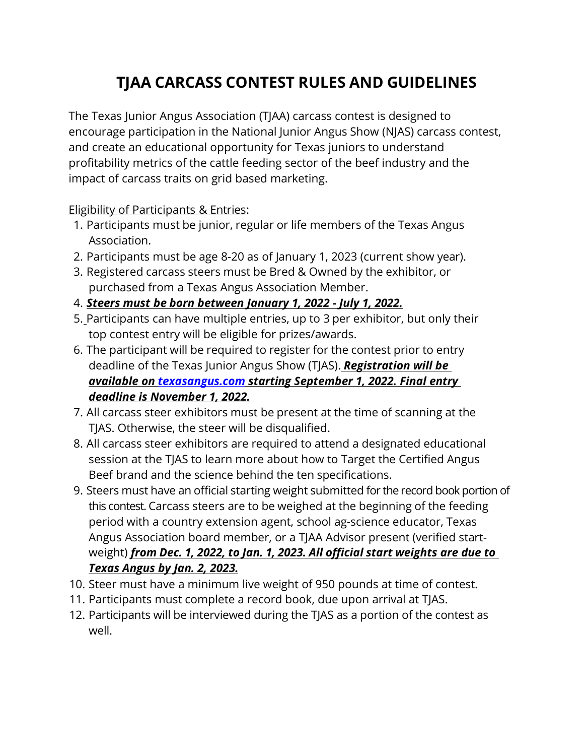# **TJAA CARCASS CONTEST RULES AND GUIDELINES**

The Texas Junior Angus Association (TJAA) carcass contest is designed to encourage participation in the National Junior Angus Show (NJAS) carcass contest, and create an educational opportunity for Texas juniors to understand profitability metrics of the cattle feeding sector of the beef industry and the impact of carcass traits on grid based marketing.

#### Eligibility of Participants & Entries:

- 1. Participants must be junior, regular or life members of the Texas Angus Association.
- 2. Participants must be age 8-20 as of January 1, 2023 (current show year).
- 3. Registered carcass steers must be Bred & Owned by the exhibitor, or purchased from a Texas Angus Association Member.
- 4. *Steers must be born between January 1, 2022 July 1, 2022.*
- 5. Participants can have multiple entries, up to 3 per exhibitor, but only their top contest entry will be eligible for prizes/awards.
- 6. The participant will be required to register for the contest prior to entry deadline of the Texas Junior Angus Show (TJAS). *Registration will be available on [texasangus.com](https://www.texasangus.com/about-the-taa?fbclid=IwAR1E6QYqVh_w3yebZrWFYPHd7tF-R5pz3bJ5h9sTgI7h_flB5sa8hhMRmxw) starting September 1, 2022. Final entry deadline is November 1, 2022.*
- 7. All carcass steer exhibitors must be present at the time of scanning at the TJAS. Otherwise, the steer will be disqualified.
- 8. All carcass steer exhibitors are required to attend a designated educational session at the TJAS to learn more about how to Target the Certified Angus Beef brand and the science behind the ten specifications.
- 9. Steers must have an official starting weight submitted for the record book portion of this contest. Carcass steers are to be weighed at the beginning of the feeding period with a country extension agent, school ag-science educator, Texas Angus Association board member, or a TJAA Advisor present (verified startweight) *from Dec. 1, 2022, to Jan. 1, 2023. All official start weights are due to Texas Angus by Jan. 2, 2023.*
- 10. Steer must have a minimum live weight of 950 pounds at time of contest.
- 11. Participants must complete a record book, due upon arrival at TJAS.
- 12. Participants will be interviewed during the TJAS as a portion of the contest as well.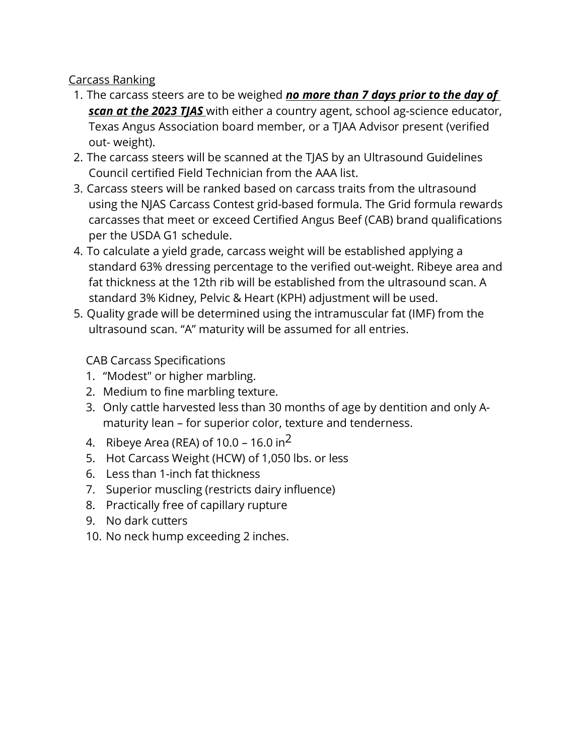#### Carcass Ranking

- 1. The carcass steers are to be weighed *no more than 7 days prior to the day of scan at the 2023 TJAS* with either a country agent, school ag-science educator, Texas Angus Association board member, or a TJAA Advisor present (verified out- weight).
- 2. The carcass steers will be scanned at the TJAS by an Ultrasound Guidelines Council certified Field Technician from the AAA list.
- 3. Carcass steers will be ranked based on carcass traits from the ultrasound using the NJAS Carcass Contest grid-based formula. The Grid formula rewards carcasses that meet or exceed Certified Angus Beef (CAB) brand qualifications per the USDA G1 schedule.
- 4. To calculate a yield grade, carcass weight will be established applying a standard 63% dressing percentage to the verified out-weight. Ribeye area and fat thickness at the 12th rib will be established from the ultrasound scan. A standard 3% Kidney, Pelvic & Heart (KPH) adjustment will be used.
- 5. Quality grade will be determined using the intramuscular fat (IMF) from the ultrasound scan. "A" maturity will be assumed for all entries.

CAB Carcass Specifications

- 1. "Modest" or higher marbling.
- 2. Medium to fine marbling texture.
- 3. Only cattle harvested less than 30 months of age by dentition and only Amaturity lean – for superior color, texture and tenderness.
- 4. Ribeye Area (REA) of  $10.0 16.0$  in<sup>2</sup>
- 5. Hot Carcass Weight (HCW) of 1,050 lbs. or less
- 6. Less than 1-inch fat thickness
- 7. Superior muscling (restricts dairy influence)
- 8. Practically free of capillary rupture
- 9. No dark cutters
- 10. No neck hump exceeding 2 inches.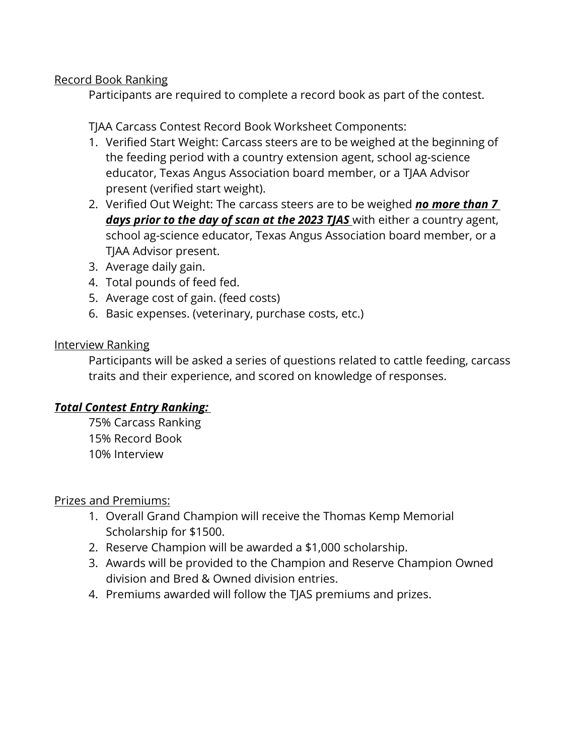#### Record Book Ranking

Participants are required to complete a record book as part of the contest.

#### TJAA Carcass Contest Record Book Worksheet Components:

- 1. Verified Start Weight: Carcass steers are to be weighed at the beginning of the feeding period with a country extension agent, school ag-science educator, Texas Angus Association board member, or a TJAA Advisor present (verified start weight).
- 2. Verified Out Weight: The carcass steers are to be weighed *no more than 7 days prior to the day of scan at the 2023 TJAS* with either a country agent, school ag-science educator, Texas Angus Association board member, or a TJAA Advisor present.
- 3. Average daily gain.
- 4. Total pounds of feed fed.
- 5. Average cost of gain. (feed costs)
- 6. Basic expenses. (veterinary, purchase costs, etc.)

#### Interview Ranking

Participants will be asked a series of questions related to cattle feeding, carcass traits and their experience, and scored on knowledge of responses.

### *Total Contest Entry Ranking:*

75% Carcass Ranking 15% Record Book 10% Interview

### Prizes and Premiums:

- 1. Overall Grand Champion will receive the Thomas Kemp Memorial Scholarship for \$1500.
- 2. Reserve Champion will be awarded a \$1,000 scholarship.
- 3. Awards will be provided to the Champion and Reserve Champion Owned division and Bred & Owned division entries.
- 4. Premiums awarded will follow the TJAS premiums and prizes.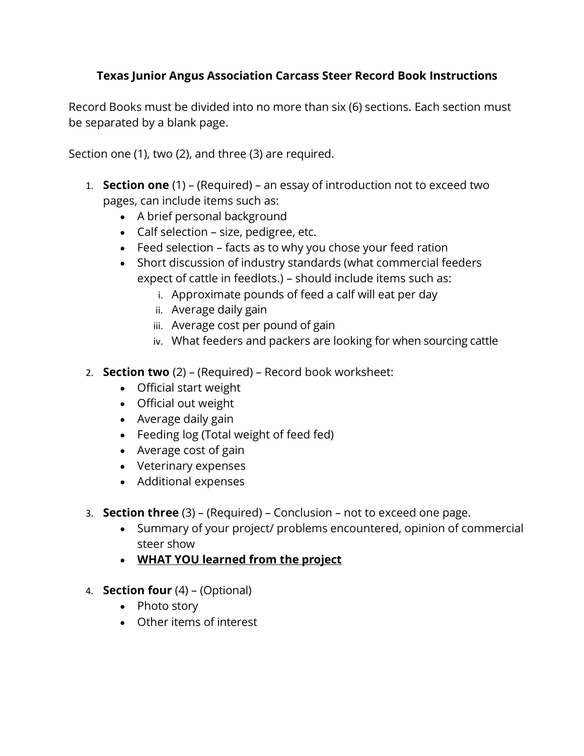### **Texas Junior Angus Association Carcass Steer Record Book Instructions**

Record Books must be divided into no more than six (6) sections. Each section must be separated by a blank page.

Section one (1), two (2), and three (3) are required.

- 1. **Section one** (1) (Required) an essay of introduction not to exceed two pages, can include items such as:
	- A brief personal background
	- Calf selection size, pedigree, etc.
	- Feed selection facts as to why you chose your feed ration
	- Short discussion of industry standards (what commercial feeders expect of cattle in feedlots.) – should include items such as:
		- i. Approximate pounds of feed a calf will eat per day
		- ii. Average daily gain
		- iii. Average cost per pound of gain
		- iv. What feeders and packers are looking for when sourcing cattle
- 2. **Section two** (2) (Required) Record book worksheet:
	- Official start weight
	- Official out weight
	- Average daily gain
	- Feeding log (Total weight of feed fed)
	- Average cost of gain
	- Veterinary expenses
	- Additional expenses
- 3. **Section three** (3) (Required) Conclusion not to exceed one page.
	- Summary of your project/ problems encountered, opinion of commercial steer show
	- **WHAT YOU learned from the project**
- 4. **Section four** (4) (Optional)
	- Photo story
	- Other items of interest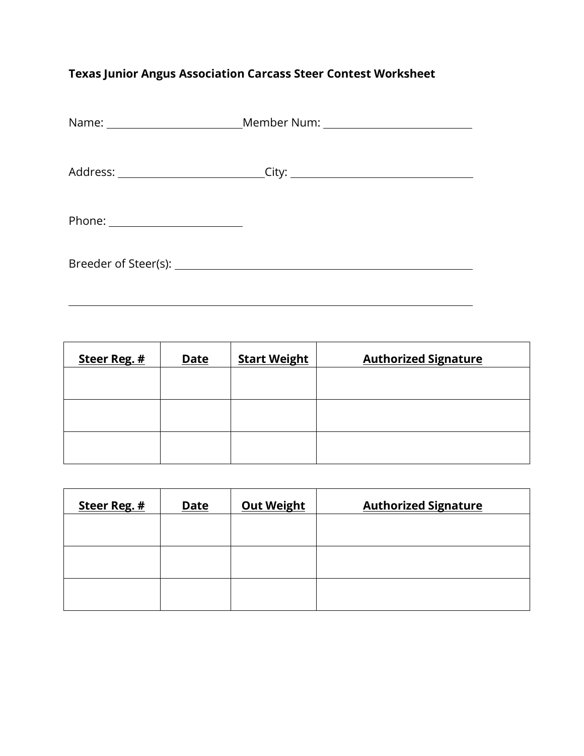## **Texas Junior Angus Association Carcass Steer Contest Worksheet**

| Name: ___________________________Member Num: ___________________________________ |
|----------------------------------------------------------------------------------|
|                                                                                  |
|                                                                                  |
|                                                                                  |
|                                                                                  |
|                                                                                  |

 $\overline{a}$ 

| Steer Reg. # | <b>Date</b> | <b>Start Weight</b> | <b>Authorized Signature</b> |
|--------------|-------------|---------------------|-----------------------------|
|              |             |                     |                             |
|              |             |                     |                             |
|              |             |                     |                             |
|              |             |                     |                             |

| Steer Reg. # | <b>Date</b> | <b>Out Weight</b> | <b>Authorized Signature</b> |
|--------------|-------------|-------------------|-----------------------------|
|              |             |                   |                             |
|              |             |                   |                             |
|              |             |                   |                             |
|              |             |                   |                             |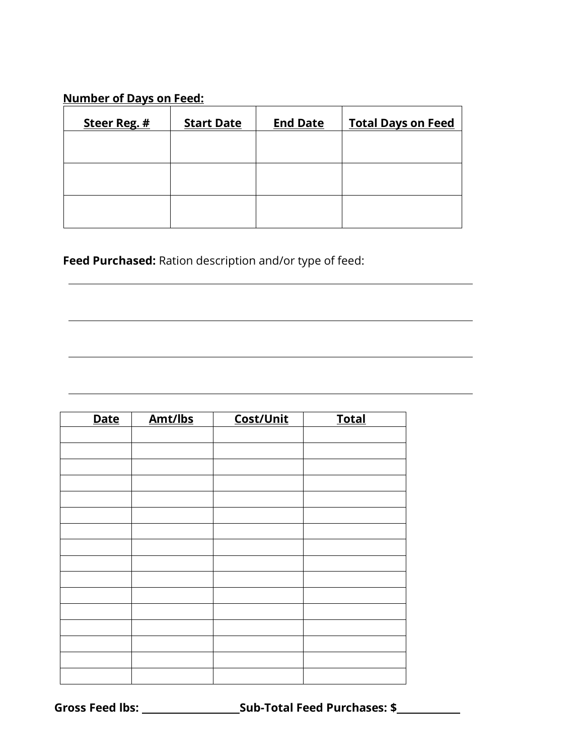### **Number of Days on Feed:**

| Steer Reg. # | <b>Start Date</b> | <b>End Date</b> | <b>Total Days on Feed</b> |
|--------------|-------------------|-----------------|---------------------------|
|              |                   |                 |                           |
|              |                   |                 |                           |
|              |                   |                 |                           |
|              |                   |                 |                           |

 $\overline{a}$ 

 $\overline{a}$ 

 $\overline{a}$ 

**Feed Purchased:** Ration description and/or type of feed:

| <b>Date</b> | Amt/lbs | Cost/Unit | <b>Total</b> |
|-------------|---------|-----------|--------------|
|             |         |           |              |
|             |         |           |              |
|             |         |           |              |
|             |         |           |              |
|             |         |           |              |
|             |         |           |              |
|             |         |           |              |
|             |         |           |              |
|             |         |           |              |
|             |         |           |              |
|             |         |           |              |
|             |         |           |              |
|             |         |           |              |
|             |         |           |              |
|             |         |           |              |
|             |         |           |              |

**Gross Feed lbs: Sub-Total Feed Purchases: \$**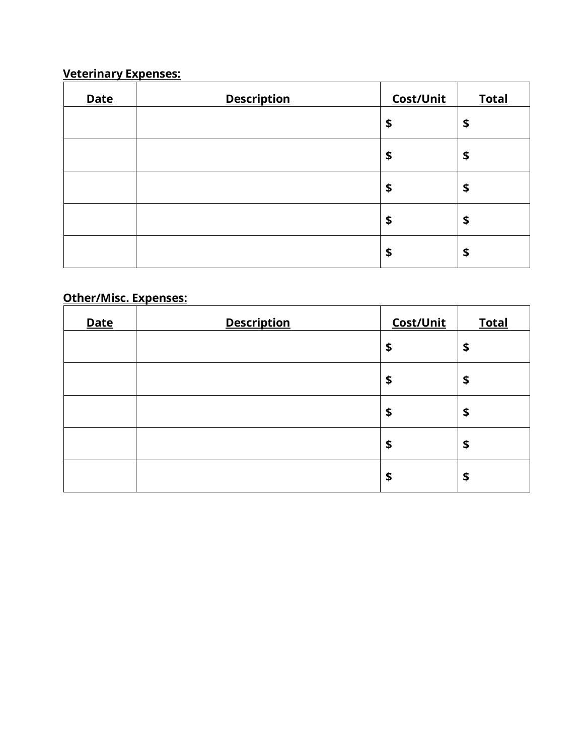## **Veterinary Expenses:**

| <b>Date</b> | <b>Description</b> | Cost/Unit | <b>Total</b> |
|-------------|--------------------|-----------|--------------|
|             |                    | \$        | \$           |
|             |                    | \$        | \$           |
|             |                    | \$        | \$           |
|             |                    | \$        | \$           |
|             |                    | \$        | \$           |

## **Other/Misc. Expenses:**

| <b>Date</b> | <b>Description</b> | Cost/Unit | <b>Total</b> |
|-------------|--------------------|-----------|--------------|
|             |                    | \$        | \$           |
|             |                    | \$        | \$           |
|             |                    | \$        | \$           |
|             |                    | \$        | \$           |
|             |                    | \$        | \$           |